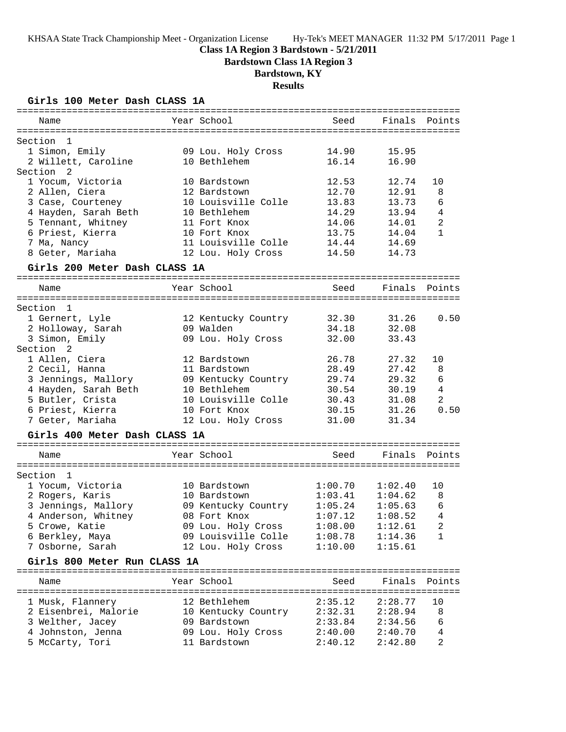### **Class 1A Region 3 Bardstown - 5/21/2011**

**Bardstown Class 1A Region 3**

# **Bardstown, KY**

**Results**

**Girls 100 Meter Dash CLASS 1A**

|                                     |                     | ===================================== |         |                |
|-------------------------------------|---------------------|---------------------------------------|---------|----------------|
| Name                                | Year School         | Seed                                  | Finals  | Points         |
|                                     |                     |                                       |         |                |
| Section<br>1                        |                     |                                       |         |                |
| 1 Simon, Emily                      | 09 Lou. Holy Cross  | 14.90                                 | 15.95   |                |
| 2 Willett, Caroline                 | 10 Bethlehem        | 16.14                                 | 16.90   |                |
| Section<br>2                        |                     |                                       |         |                |
| 1 Yocum, Victoria                   | 10 Bardstown        | 12.53                                 | 12.74   | 10             |
| 2 Allen, Ciera                      | 12 Bardstown        | 12.70                                 | 12.91   | 8              |
| 3 Case, Courteney                   | 10 Louisville Colle | 13.83                                 | 13.73   | 6              |
| 4 Hayden, Sarah Beth                | 10 Bethlehem        | 14.29                                 | 13.94   | $\overline{4}$ |
| 5 Tennant, Whitney                  | 11 Fort Knox        | 14.06                                 | 14.01   | $\overline{2}$ |
| 6 Priest, Kierra                    | 10 Fort Knox        | 13.75                                 | 14.04   | $\mathbf{1}$   |
| 7 Ma, Nancy                         | 11 Louisville Colle | 14.44                                 | 14.69   |                |
| 8 Geter, Mariaha                    | 12 Lou. Holy Cross  | 14.50                                 | 14.73   |                |
| Girls 200 Meter Dash CLASS 1A       |                     |                                       |         |                |
| Name                                | Year School         | Seed                                  | Finals  | Points         |
|                                     |                     |                                       |         |                |
| Section<br>1                        |                     |                                       |         |                |
| 1 Gernert, Lyle                     | 12 Kentucky Country | 32.30                                 | 31.26   | 0.50           |
| 2 Holloway, Sarah                   | 09 Walden           | 34.18                                 | 32.08   |                |
| 3 Simon, Emily                      | 09 Lou. Holy Cross  | 32.00                                 | 33.43   |                |
| Section 2                           |                     |                                       |         |                |
| 1 Allen, Ciera                      | 12 Bardstown        | 26.78                                 | 27.32   | 10             |
| 2 Cecil, Hanna                      | 11 Bardstown        | 28.49                                 | 27.42   | 8              |
| 3 Jennings, Mallory                 | 09 Kentucky Country | 29.74                                 | 29.32   | 6              |
| 4 Hayden, Sarah Beth                | 10 Bethlehem        | 30.54                                 | 30.19   | $\bf 4$        |
| 5 Butler, Crista                    | 10 Louisville Colle | 30.43                                 | 31.08   | $\overline{2}$ |
| 6 Priest, Kierra                    | 10 Fort Knox        | 30.15                                 | 31.26   | 0.50           |
|                                     |                     |                                       |         |                |
| 7 Geter, Mariaha                    | 12 Lou. Holy Cross  | 31.00                                 | 31.34   |                |
| Girls 400 Meter Dash CLASS 1A       |                     |                                       |         |                |
| Name                                | Year School         | Seed                                  | Finals  | Points         |
| Section<br>1                        |                     |                                       |         |                |
| 1 Yocum, Victoria                   | 10 Bardstown        | 1:00.70                               | 1:02.40 | 10             |
| 2 Rogers, Karis                     | 10 Bardstown        | 1:03.41                               | 1:04.62 | 8              |
| 3 Jennings, Mallory                 | 09 Kentucky Country | 1:05.24                               | 1:05.63 | 6              |
| 4 Anderson, Whitney                 | 08 Fort Knox        | 1:07.12                               | 1:08.52 | 4              |
| 5 Crowe, Katie                      | 09 Lou. Holy Cross  | 1:08.00                               | 1:12.61 |                |
|                                     | 09 Louisville Colle |                                       |         | 2<br>1         |
| 6 Berkley, Maya<br>7 Osborne, Sarah |                     | 1:08.78                               | 1:14.36 |                |
|                                     | 12 Lou. Holy Cross  | 1:10.00                               | 1:15.61 |                |
| Girls 800 Meter Run CLASS 1A        |                     |                                       |         |                |
| Name                                | Year School         | Seed                                  | Finals  | Points         |
|                                     |                     |                                       |         |                |
| 1 Musk, Flannery                    | 12 Bethlehem        | 2:35.12                               | 2:28.77 | 10             |
| 2 Eisenbrei, Malorie                | 10 Kentucky Country | 2:32.31                               | 2:28.94 | 8              |
| 3 Welther, Jacey                    | 09 Bardstown        | 2:33.84                               | 2:34.56 | 6              |
| 4 Johnston, Jenna                   | 09 Lou. Holy Cross  | 2:40.00                               | 2:40.70 | 4              |
| 5 McCarty, Tori                     | 11 Bardstown        | 2:40.12                               | 2:42.80 | $\overline{a}$ |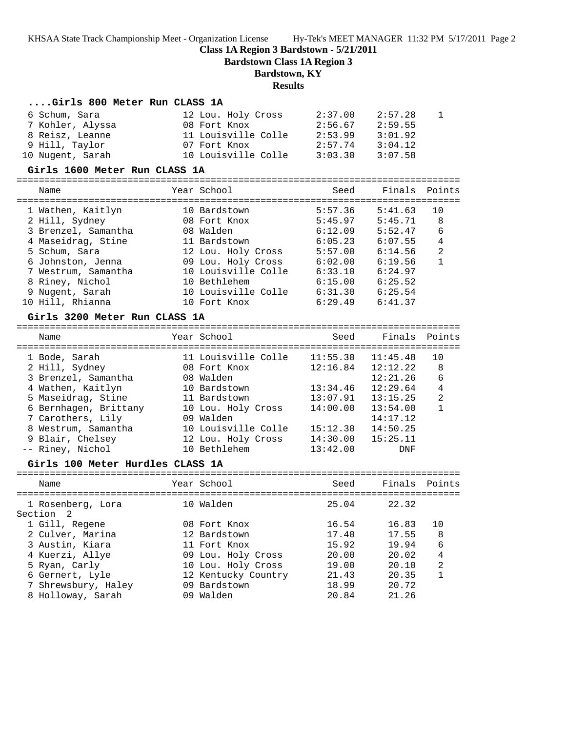**Class 1A Region 3 Bardstown - 5/21/2011**

**Bardstown Class 1A Region 3**

#### **Bardstown, KY**

#### **Results**

#### **....Girls 800 Meter Run CLASS 1A**

| 6 Schum, Sara    | 12 Lou. Holy Cross  | 2:37.00 | 2:57.28 |  |
|------------------|---------------------|---------|---------|--|
| 7 Kohler, Alyssa | 08 Fort Knox        | 2:56.67 | 2:59.55 |  |
| 8 Reisz, Leanne  | 11 Louisville Colle | 2:53.99 | 3:01.92 |  |
| 9 Hill, Taylor   | 07 Fort Knox        | 2:57.74 | 3:04.12 |  |
| 10 Nugent, Sarah | 10 Louisville Colle | 3:03.30 | 3:07.58 |  |

#### **Girls 1600 Meter Run CLASS 1A**

================================================================================ Name Year School Seed Finals Points ================================================================================ 1 Wathen, Kaitlyn 10 Bardstown 5:57.36 5:41.63 10 2 Hill, Sydney 08 Fort Knox 5:45.97 5:45.71 8 3 Brenzel, Samantha 08 Walden 6:12.09 5:52.47 6 4 Maseidrag, Stine 11 Bardstown 6:05.23 6:07.55 4 5 Schum, Sara 12 Lou. Holy Cross 5:57.00 6:14.56 2 6 Johnston, Jenna 09 Lou. Holy Cross 6:02.00 6:19.56 1 7 Westrum, Samantha 10 Louisville Colle 6:33.10 6:24.97 8 Riney, Nichol 10 Bethlehem 6:15.00 6:25.52 9 Nugent, Sarah 10 Louisville Colle 6:31.30 6:25.54 10 Hill, Rhianna 10 Fort Knox 6:29.49 6:41.37

#### **Girls 3200 Meter Run CLASS 1A**

================================================================================ Name Year School Seed Finals Points ================================================================================ 1 Bode, Sarah 11 Louisville Colle 11:55.30 11:45.48 10 2 Hill, Sydney 08 Fort Knox 12:16.84 12:12.22 8 3 Brenzel, Samantha 08 Walden 12:21.26 6 4 Wathen, Kaitlyn 10 Bardstown 13:34.46 12:29.64 4 5 Maseidrag, Stine 11 Bardstown 13:07.91 13:15.25 2 6 Bernhagen, Brittany 10 Lou. Holy Cross 14:00.00 13:54.00 1 7 Carothers, Lily 09 Walden 14:17.12 8 Westrum, Samantha 10 Louisville Colle 15:12.30 14:50.25 9 Blair, Chelsey 12 Lou. Holy Cross 14:30.00 15:25.11 -- Riney, Nichol 10 Bethlehem 13:42.00 DNF

#### **Girls 100 Meter Hurdles CLASS 1A**

| Name                           | Year School         | Seed  | Finals Points |    |
|--------------------------------|---------------------|-------|---------------|----|
| 1 Rosenberg, Lora<br>Section 2 | 10 Walden           | 25.04 | 22.32         |    |
| 1 Gill, Regene                 | 08 Fort Knox        | 16.54 | 16.83         | 10 |
| 2 Culver, Marina               | 12 Bardstown        | 17.40 | 17.55         | 8  |
| 3 Austin, Kiara                | 11 Fort Knox        | 15.92 | 19.94         | 6  |
| 4 Kuerzi, Allye                | 09 Lou. Holy Cross  | 20.00 | 20.02         | 4  |
| 5 Ryan, Carly                  | 10 Lou. Holy Cross  | 19.00 | 20.10         | 2  |
| 6 Gernert, Lyle                | 12 Kentucky Country | 21.43 | 20.35         | 1  |
| 7 Shrewsbury, Haley            | 09 Bardstown        | 18.99 | 20.72         |    |
| 8 Holloway, Sarah              | 09 Walden           | 20.84 | 21.26         |    |
|                                |                     |       |               |    |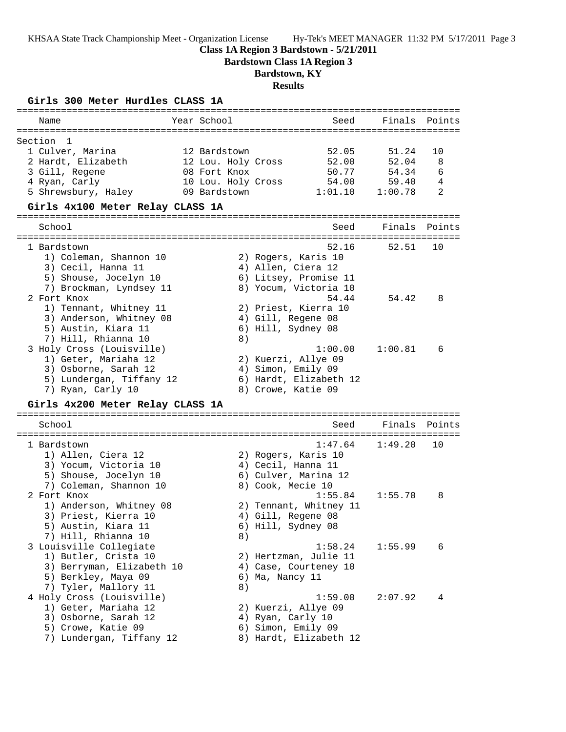### **Class 1A Region 3 Bardstown - 5/21/2011**

**Bardstown Class 1A Region 3**

# **Bardstown, KY**

**Results**

|  |  |  | Girls 300 Meter Hurdles CLASS 1A |  |  |
|--|--|--|----------------------------------|--|--|
|--|--|--|----------------------------------|--|--|

| Name                                             | Year School        | Seed                                           | Finals  | Points |
|--------------------------------------------------|--------------------|------------------------------------------------|---------|--------|
|                                                  |                    |                                                |         |        |
| Section<br>$\overline{1}$                        |                    |                                                |         |        |
| 1 Culver, Marina                                 | 12 Bardstown       | 52.05                                          | 51.24   | 10     |
| 2 Hardt, Elizabeth                               | 12 Lou. Holy Cross | 52.00                                          | 52.04   | 8      |
| 3 Gill, Regene                                   | 08 Fort Knox       | 50.77                                          | 54.34   | 6      |
| 4 Ryan, Carly                                    | 10 Lou. Holy Cross | 54.00                                          | 59.40   | 4      |
| 5 Shrewsbury, Haley                              | 09 Bardstown       | 1:01.10                                        | 1:00.78 | 2      |
| Girls 4x100 Meter Relay CLASS 1A                 |                    |                                                |         |        |
| School                                           |                    | Seed                                           | Finals  | Points |
|                                                  |                    |                                                |         |        |
| 1 Bardstown                                      |                    | 52.16                                          | 52.51   | 10     |
| 1) Coleman, Shannon 10                           |                    | 2) Rogers, Karis 10                            |         |        |
| 3) Cecil, Hanna 11                               |                    | 4) Allen, Ciera 12                             |         |        |
| 5) Shouse, Jocelyn 10<br>7) Brockman, Lyndsey 11 |                    | 6) Litsey, Promise 11<br>8) Yocum, Victoria 10 |         |        |
| 2 Fort Knox                                      |                    | 54.44                                          | 54.42   | 8      |
| 1) Tennant, Whitney 11                           |                    |                                                |         |        |
| 3) Anderson, Whitney 08                          |                    | 2) Priest, Kierra 10<br>4) Gill, Regene 08     |         |        |
| 5) Austin, Kiara 11                              |                    | 6) Hill, Sydney 08                             |         |        |
| 7) Hill, Rhianna 10                              | 8)                 |                                                |         |        |
| 3 Holy Cross (Louisville)                        |                    | 1:00.00                                        | 1:00.81 | 6      |
| 1) Geter, Mariaha 12                             |                    | 2) Kuerzi, Allye 09                            |         |        |
| 3) Osborne, Sarah 12                             |                    | 4) Simon, Emily 09                             |         |        |
| 5) Lundergan, Tiffany 12                         |                    | 6) Hardt, Elizabeth 12                         |         |        |
| 7) Ryan, Carly 10                                |                    | 8) Crowe, Katie 09                             |         |        |
| Girls 4x200 Meter Relay CLASS 1A                 |                    |                                                |         |        |
| School                                           |                    | Seed                                           | Finals  | Points |
|                                                  |                    |                                                |         |        |
| 1 Bardstown                                      |                    | 1:47.64                                        | 1:49.20 | 10     |
| 1) Allen, Ciera 12                               |                    | 2) Rogers, Karis 10                            |         |        |
| 3) Yocum, Victoria 10                            |                    | 4) Cecil, Hanna 11                             |         |        |
| 5) Shouse, Jocelyn 10                            |                    | 6) Culver, Marina 12                           |         |        |
| 7) Coleman, Shannon 10                           |                    | 8) Cook, Mecie 10                              |         |        |
| 2 Fort Knox                                      |                    | 1:55.84                                        | 1:55.70 | 8      |
| 1) Anderson, Whitney 08                          |                    | 2) Tennant, Whitney 11                         |         |        |
| 3) Priest, Kierra 10                             |                    | 4) Gill, Regene 08                             |         |        |
| 5) Austin, Kiara 11                              |                    | 6) Hill, Sydney 08                             |         |        |
| 7) Hill, Rhianna 10                              | 8)                 |                                                |         |        |
| 3 Louisville Collegiate                          |                    | 1:58.24                                        | 1:55.99 | 6      |
| 1) Butler, Crista 10                             |                    | 2) Hertzman, Julie 11                          |         |        |
| 3) Berryman, Elizabeth 10                        |                    | 4) Case, Courteney 10                          |         |        |
| 5) Berkley, Maya 09                              |                    | 6) Ma, Nancy 11                                |         |        |
| 7) Tyler, Mallory 11                             | 8)                 |                                                |         |        |
| 4 Holy Cross (Louisville)                        |                    | 1:59.00                                        | 2:07.92 | 4      |
| 1) Geter, Mariaha 12                             |                    | 2) Kuerzi, Allye 09                            |         |        |
| 3) Osborne, Sarah 12                             |                    | 4) Ryan, Carly 10                              |         |        |
| 5) Crowe, Katie 09                               |                    | 6) Simon, Emily 09                             |         |        |
| 7) Lundergan, Tiffany 12                         |                    | 8) Hardt, Elizabeth 12                         |         |        |
|                                                  |                    |                                                |         |        |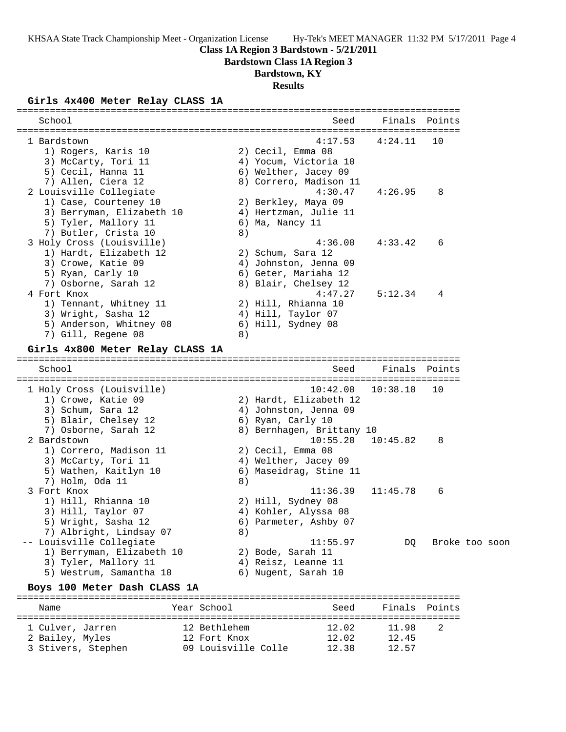#### **Class 1A Region 3 Bardstown - 5/21/2011**

**Bardstown Class 1A Region 3**

### **Bardstown, KY**

**Results**

#### **Girls 4x400 Meter Relay CLASS 1A**

| School                                                                                                                              |    | Seed                                                                                                                      | Finals               | Points  |                |
|-------------------------------------------------------------------------------------------------------------------------------------|----|---------------------------------------------------------------------------------------------------------------------------|----------------------|---------|----------------|
| 1 Bardstown<br>1) Rogers, Karis 10<br>3) McCarty, Tori 11<br>5) Cecil, Hanna 11<br>7) Allen, Ciera 12                               |    | 4:17.53<br>2) Cecil, Emma 08<br>4) Yocum, Victoria 10<br>6) Welther, Jacey 09<br>8) Correro, Madison 11                   | 4:24.11              | 10      |                |
| 2 Louisville Collegiate<br>1) Case, Courteney 10<br>3) Berryman, Elizabeth 10<br>5) Tyler, Mallory 11<br>7) Butler, Crista 10       | 8) | 4:30.47<br>2) Berkley, Maya 09<br>4) Hertzman, Julie 11<br>6) Ma, Nancy 11                                                | 4:26.95              | 8       |                |
| 3 Holy Cross (Louisville)<br>1) Hardt, Elizabeth 12<br>3) Crowe, Katie 09<br>5) Ryan, Carly 10<br>7) Osborne, Sarah 12              |    | 4:36.00<br>2) Schum, Sara 12<br>4) Johnston, Jenna 09<br>6) Geter, Mariaha 12<br>8) Blair, Chelsey 12                     | 4:33.42              | 6       |                |
| 4 Fort Knox<br>1) Tennant, Whitney 11<br>3) Wright, Sasha 12<br>5) Anderson, Whitney 08<br>7) Gill, Regene 08                       | 8) | 4:47.27<br>2) Hill, Rhianna 10<br>4) Hill, Taylor 07<br>6) Hill, Sydney 08                                                | 5:12.34              | 4       |                |
| Girls 4x800 Meter Relay CLASS 1A                                                                                                    |    |                                                                                                                           |                      |         |                |
| School                                                                                                                              |    | Seed                                                                                                                      | Finals               | Points  |                |
| 1 Holy Cross (Louisville)<br>1) Crowe, Katie 09<br>3) Schum, Sara 12<br>5) Blair, Chelsey 12<br>7) Osborne, Sarah 12<br>2 Bardstown |    | 10:42.00<br>2) Hardt, Elizabeth 12<br>4) Johnston, Jenna 09<br>6) Ryan, Carly 10<br>8) Bernhagen, Brittany 10<br>10:55.20 | 10:38.10<br>10:45.82 | 10<br>8 |                |
| 1) Correro, Madison 11<br>3) McCarty, Tori 11<br>5) Wathen, Kaitlyn 10<br>7) Holm, Oda 11                                           | 8) | 2) Cecil, Emma 08<br>4) Welther, Jacey 09<br>6) Maseidrag, Stine 11                                                       |                      |         |                |
| 3 Fort Knox<br>1) Hill, Rhianna 10<br>3) Hill, Taylor 07<br>5) Wright, Sasha 12<br>7) Albright, Lindsay 07                          | 8) | 11:36.39<br>2) Hill, Sydney 08<br>4) Kohler, Alyssa 08<br>6) Parmeter, Ashby 07                                           | 11:45.78             | 6       |                |
| -- Louisville Collegiate<br>1) Berryman, Elizabeth 10<br>3) Tyler, Mallory 11<br>5) Westrum, Samantha 10                            |    | 11:55.97<br>2) Bode, Sarah 11<br>4) Reisz, Leanne 11<br>6) Nugent, Sarah 10                                               | DQ                   |         | Broke too soon |
| Boys 100 Meter Dash CLASS 1A                                                                                                        |    |                                                                                                                           |                      |         |                |

================================================================================ Name Year School Seed Finals Points ================================================================================ 1 Culver, Jarren 12 Bethlehem 12.02 11.98 2 2 Bailey, Myles 12 Fort Knox 12.02 12.45 3 Stivers, Stephen 09 Louisville Colle 12.38 12.57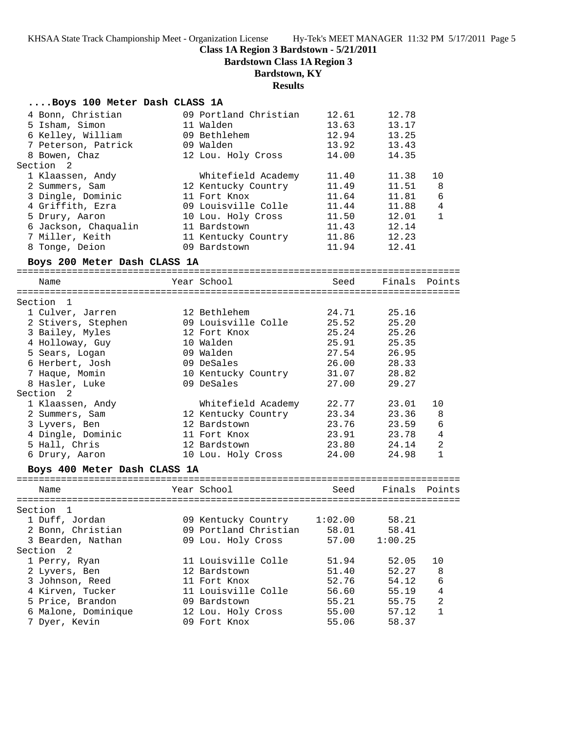### **Class 1A Region 3 Bardstown - 5/21/2011**

**Bardstown Class 1A Region 3**

# **Bardstown, KY**

### **Results**

| Boys 100 Meter Dash CLASS 1A |  |  |  |  |  |
|------------------------------|--|--|--|--|--|
|------------------------------|--|--|--|--|--|

| 4 Bonn, Christian            | 09 Portland Christian | 12.61   | 12.78   |                |
|------------------------------|-----------------------|---------|---------|----------------|
| 5 Isham, Simon               | 11 Walden             | 13.63   | 13.17   |                |
| 6 Kelley, William            | 09 Bethlehem          | 12.94   | 13.25   |                |
| 7 Peterson, Patrick          | 09 Walden             | 13.92   | 13.43   |                |
| 8 Bowen, Chaz                | 12 Lou. Holy Cross    | 14.00   | 14.35   |                |
| Section <sub>2</sub>         |                       |         |         |                |
| 1 Klaassen, Andy             | Whitefield Academy    | 11.40   | 11.38   | 10             |
| 2 Summers, Sam               | 12 Kentucky Country   | 11.49   | 11.51   | 8              |
| 3 Dingle, Dominic            | 11 Fort Knox          | 11.64   | 11.81   | 6              |
| 4 Griffith, Ezra             | 09 Louisville Colle   | 11.44   | 11.88   | $\overline{4}$ |
| 5 Drury, Aaron               | 10 Lou. Holy Cross    | 11.50   | 12.01   | $\mathbf{1}$   |
| 6 Jackson, Chaqualin         | 11 Bardstown          | 11.43   | 12.14   |                |
| 7 Miller, Keith              | 11 Kentucky Country   | 11.86   | 12.23   |                |
| 8 Tonge, Deion               | 09 Bardstown          | 11.94   | 12.41   |                |
|                              |                       |         |         |                |
| Boys 200 Meter Dash CLASS 1A |                       |         |         |                |
| Name                         | Year School           | Seed    |         | Finals Points  |
|                              |                       |         |         |                |
| Section 1                    |                       |         |         |                |
| 1 Culver, Jarren             | 12 Bethlehem          | 24.71   | 25.16   |                |
| 2 Stivers, Stephen           | 09 Louisville Colle   | 25.52   | 25.20   |                |
| 3 Bailey, Myles              | 12 Fort Knox          | 25.24   | 25.26   |                |
| 4 Holloway, Guy              | 10 Walden             | 25.91   | 25.35   |                |
| 5 Sears, Logan               | 09 Walden             | 27.54   | 26.95   |                |
| 6 Herbert, Josh              | 09 DeSales            | 26.00   | 28.33   |                |
| 7 Haque, Momin               | 10 Kentucky Country   | 31.07   | 28.82   |                |
| 8 Hasler, Luke               | 09 DeSales            | 27.00   | 29.27   |                |
| Section <sub>2</sub>         |                       |         |         |                |
| 1 Klaassen, Andy             | Whitefield Academy    | 22.77   | 23.01   | 10             |
| 2 Summers, Sam               | 12 Kentucky Country   | 23.34   | 23.36   | 8              |
| 3 Lyvers, Ben                | 12 Bardstown          | 23.76   | 23.59   | 6              |
| 4 Dingle, Dominic            | 11 Fort Knox          | 23.91   | 23.78   | $\overline{4}$ |
| 5 Hall, Chris                | 12 Bardstown          | 23.80   | 24.14   | 2              |
| 6 Drury, Aaron               | 10 Lou. Holy Cross    | 24.00   | 24.98   | $\mathbf{1}$   |
|                              |                       |         |         |                |
| Boys 400 Meter Dash CLASS 1A |                       |         |         |                |
| Name                         | Year School           | Seed    | Finals  | Points         |
|                              |                       |         |         |                |
| Section 1                    |                       |         |         |                |
| 1 Duff, Jordan               | 09 Kentucky Country   | 1:02.00 | 58.21   |                |
| 2 Bonn, Christian            | 09 Portland Christian | 58.01   | 58.41   |                |
| 3 Bearden, Nathan            | 09 Lou. Holy Cross    | 57.00   | 1:00.25 |                |
| Section 2                    |                       |         |         |                |
| 1 Perry, Ryan                | 11 Louisville Colle   | 51.94   | 52.05   | 10             |
| 2 Lyvers, Ben                | 12 Bardstown          | 51.40   | 52.27   | 8              |
| 3 Johnson, Reed              | 11 Fort Knox          | 52.76   | 54.12   | 6              |
| 4 Kirven, Tucker             | 11 Louisville Colle   | 56.60   | 55.19   | 4              |
| 5 Price, Brandon             | 09 Bardstown          | 55.21   | 55.75   | 2              |
| 6 Malone, Dominique          | 12 Lou. Holy Cross    | 55.00   | 57.12   | 1              |
| 7 Dyer, Kevin                | 09 Fort Knox          | 55.06   | 58.37   |                |
|                              |                       |         |         |                |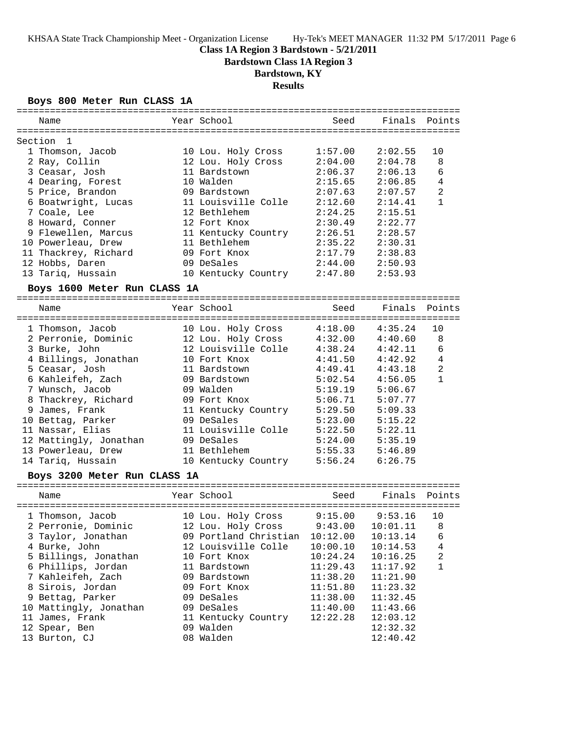### **Class 1A Region 3 Bardstown - 5/21/2011**

**Bardstown Class 1A Region 3**

# **Bardstown, KY**

**Results**

### **Boys 800 Meter Run CLASS 1A**

| Name                         | Year School           | Seed     | Finals   | Points            |
|------------------------------|-----------------------|----------|----------|-------------------|
|                              |                       |          |          |                   |
| Section<br>-1                |                       |          |          |                   |
| 1 Thomson, Jacob             | 10 Lou. Holy Cross    | 1:57.00  | 2:02.55  | 10                |
| 2 Ray, Collin                | 12 Lou. Holy Cross    | 2:04.00  | 2:04.78  | 8                 |
| 3 Ceasar, Josh               | 11 Bardstown          | 2:06.37  | 2:06.13  | 6                 |
| 4 Dearing, Forest            | 10 Walden             | 2:15.65  | 2:06.85  | $\overline{4}$    |
| 5 Price, Brandon             | 09 Bardstown          | 2:07.63  | 2:07.57  | $\overline{2}$    |
| 6 Boatwright, Lucas          | 11 Louisville Colle   | 2:12.60  | 2:14.41  | $\mathbf{1}$      |
| 7 Coale, Lee                 | 12 Bethlehem          | 2:24.25  | 2:15.51  |                   |
| 8 Howard, Conner             | 12 Fort Knox          | 2:30.49  | 2:22.77  |                   |
| 9 Flewellen, Marcus          | 11 Kentucky Country   | 2:26.51  | 2:28.57  |                   |
| 10 Powerleau, Drew           | 11 Bethlehem          | 2:35.22  | 2:30.31  |                   |
| 11 Thackrey, Richard         | 09 Fort Knox          | 2:17.79  | 2:38.83  |                   |
| 12 Hobbs, Daren              | 09 DeSales            | 2:44.00  | 2:50.93  |                   |
| 13 Tariq, Hussain            | 10 Kentucky Country   | 2:47.80  | 2:53.93  |                   |
| Boys 1600 Meter Run CLASS 1A |                       |          |          |                   |
| Name                         | Year School           | Seed     | Finals   | Points            |
| .================            |                       |          |          |                   |
| 1 Thomson, Jacob             | 10 Lou. Holy Cross    | 4:18.00  | 4:35.24  | 10                |
| 2 Perronie, Dominic          | 12 Lou. Holy Cross    | 4:32.00  | 4:40.60  | 8                 |
| 3 Burke, John                | 12 Louisville Colle   | 4:38.24  | 4:42.11  | 6                 |
| 4 Billings, Jonathan         | 10 Fort Knox          | 4:41.50  | 4:42.92  | $\overline{4}$    |
| 5 Ceasar, Josh               | 11 Bardstown          | 4:49.41  | 4:43.18  | 2<br>$\mathbf{1}$ |
| 6 Kahleifeh, Zach            | 09 Bardstown          | 5:02.54  | 4:56.05  |                   |
| 7 Wunsch, Jacob              | 09 Walden             | 5:19.19  | 5:06.67  |                   |
| 8 Thackrey, Richard          | 09 Fort Knox          | 5:06.71  | 5:07.77  |                   |
| 9 James, Frank               | 11 Kentucky Country   | 5:29.50  | 5:09.33  |                   |
| 10 Bettag, Parker            | 09 DeSales            | 5:23.00  | 5:15.22  |                   |
| 11 Nassar, Elias             | 11 Louisville Colle   | 5:22.50  | 5:22.11  |                   |
| 12 Mattingly, Jonathan       | 09 DeSales            | 5:24.00  | 5:35.19  |                   |
| 13 Powerleau, Drew           | 11 Bethlehem          | 5:55.33  | 5:46.89  |                   |
| 14 Tariq, Hussain            | 10 Kentucky Country   | 5:56.24  | 6:26.75  |                   |
| Boys 3200 Meter Run CLASS 1A |                       |          |          |                   |
| Name                         | Year School           | Seed     | Finals   | Points            |
| 1 Thomson, Jacob             | 10 Lou. Holy Cross    | 9:15.00  | 9:53.16  | 10                |
| 2 Perronie, Dominic          | 12 Lou. Holy Cross    | 9:43.00  | 10:01.11 | 8                 |
| 3 Taylor, Jonathan           | 09 Portland Christian | 10:12.00 | 10:13.14 | 6                 |
| 4 Burke, John                | 12 Louisville Colle   | 10:00.10 | 10:14.53 | 4                 |
| 5 Billings, Jonathan         | 10 Fort Knox          | 10:24.24 | 10:16.25 | 2                 |
| 6 Phillips, Jordan           | 11 Bardstown          | 11:29.43 | 11:17.92 | $\mathbf{1}$      |
| 7 Kahleifeh, Zach            | 09 Bardstown          | 11:38.20 | 11:21.90 |                   |
| 8 Sirois, Jordan             | 09 Fort Knox          | 11:51.80 | 11:23.32 |                   |
| 9 Bettag, Parker             | 09 DeSales            | 11:38.00 | 11:32.45 |                   |
| 10 Mattingly, Jonathan       | 09 DeSales            | 11:40.00 | 11:43.66 |                   |
| 11 James, Frank              | 11 Kentucky Country   | 12:22.28 | 12:03.12 |                   |
| 12 Spear, Ben                | 09 Walden             |          | 12:32.32 |                   |
| 13 Burton, CJ                | 08 Walden             |          | 12:40.42 |                   |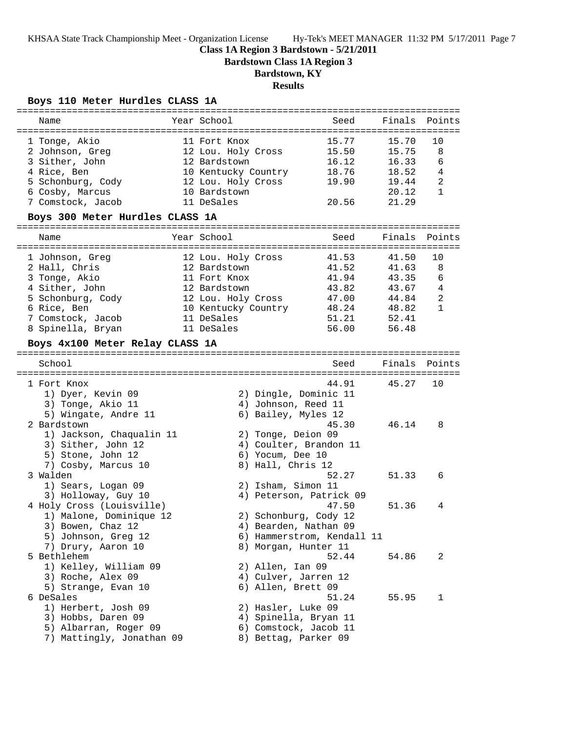### **Class 1A Region 3 Bardstown - 5/21/2011**

**Bardstown Class 1A Region 3**

# **Bardstown, KY**

### **Results**

### **Boys 110 Meter Hurdles CLASS 1A**

| ==============                  |             |                    |                     |                            |        |                |
|---------------------------------|-------------|--------------------|---------------------|----------------------------|--------|----------------|
| Name                            | Year School |                    |                     | Seed                       | Finals | Points         |
| 1 Tonge, Akio                   |             | 11 Fort Knox       |                     | 15.77                      | 15.70  | 10             |
| 2 Johnson, Greg                 |             |                    | 12 Lou. Holy Cross  | 15.50                      | 15.75  | 8              |
| 3 Sither, John                  |             | 12 Bardstown       |                     | 16.12                      | 16.33  | 6              |
| 4 Rice, Ben                     |             |                    | 10 Kentucky Country | 18.76                      | 18.52  | $\overline{4}$ |
| 5 Schonburg, Cody               |             |                    |                     | 19.90                      | 19.44  | $\overline{2}$ |
| 6 Cosby, Marcus                 |             | 10 Bardstown       | 12 Lou. Holy Cross  |                            | 20.12  | $\mathbf{1}$   |
| 7 Comstock, Jacob               | 11 DeSales  |                    |                     | 20.56                      | 21.29  |                |
|                                 |             |                    |                     |                            |        |                |
| Boys 300 Meter Hurdles CLASS 1A |             |                    |                     |                            |        |                |
| Name                            | Year School |                    |                     | Seed                       | Finals | Points         |
|                                 |             |                    |                     |                            |        |                |
| 1 Johnson, Greg                 |             | 12 Lou. Holy Cross |                     | 41.53                      | 41.50  | 10             |
| 2 Hall, Chris                   |             | 12 Bardstown       |                     | 41.52                      | 41.63  | 8              |
| 3 Tonge, Akio                   |             | 11 Fort Knox       |                     | 41.94                      | 43.35  | 6              |
| 4 Sither, John                  |             | 12 Bardstown       |                     | 43.82                      | 43.67  | $\overline{4}$ |
| 5 Schonburg, Cody               |             |                    | 12 Lou. Holy Cross  | 47.00                      | 44.84  | $\overline{2}$ |
| 6 Rice, Ben                     |             |                    | 10 Kentucky Country | 48.24                      | 48.82  | $\mathbf{1}$   |
| 7 Comstock, Jacob               | 11 DeSales  |                    |                     | 51.21                      | 52.41  |                |
| 8 Spinella, Bryan               | 11 DeSales  |                    |                     | 56.00                      | 56.48  |                |
| Boys 4x100 Meter Relay CLASS 1A |             |                    |                     |                            |        |                |
|                                 |             |                    |                     |                            |        |                |
| School                          |             |                    |                     | Seed                       | Finals | Points         |
|                                 |             |                    |                     |                            |        |                |
| 1 Fort Knox                     |             |                    |                     | 44.91                      | 45.27  | 10             |
| 1) Dyer, Kevin 09               |             |                    |                     | 2) Dingle, Dominic 11      |        |                |
| 3) Tonge, Akio 11               |             |                    |                     | 4) Johnson, Reed 11        |        |                |
| 5) Wingate, Andre 11            |             |                    |                     | 6) Bailey, Myles 12        |        |                |
| 2 Bardstown                     |             |                    |                     | 45.30                      | 46.14  | 8              |
| 1) Jackson, Chaqualin 11        |             |                    |                     | 2) Tonge, Deion 09         |        |                |
| 3) Sither, John 12              |             |                    |                     | 4) Coulter, Brandon 11     |        |                |
| 5) Stone, John 12               |             |                    | 6) Yocum, Dee 10    |                            |        |                |
| 7) Cosby, Marcus 10             |             |                    | 8) Hall, Chris 12   |                            |        |                |
| 3 Walden                        |             |                    |                     | 52.27                      | 51.33  | 6              |
| 1) Sears, Logan 09              |             |                    |                     | 2) Isham, Simon 11         |        |                |
| 3) Holloway, Guy 10             |             |                    |                     | 4) Peterson, Patrick 09    |        |                |
| 4 Holy Cross (Louisville)       |             |                    |                     | 47.50                      | 51.36  | 4              |
| 1) Malone, Dominique 12         |             |                    |                     | 2) Schonburg, Cody 12      |        |                |
| 3) Bowen, Chaz 12               |             |                    |                     | 4) Bearden, Nathan 09      |        |                |
| 5) Johnson, Greg 12             |             |                    |                     | 6) Hammerstrom, Kendall 11 |        |                |
| 7) Drury, Aaron 10              |             |                    |                     | 8) Morgan, Hunter 11       |        |                |
| 5 Bethlehem                     |             |                    |                     | 52.44                      | 54.86  | 2              |
| 1) Kelley, William 09           |             |                    | 2) Allen, Ian 09    |                            |        |                |
| 3) Roche, Alex 09               |             |                    |                     | 4) Culver, Jarren 12       |        |                |
| 5) Strange, Evan 10             |             |                    |                     | 6) Allen, Brett 09         |        |                |
| 6 DeSales                       |             |                    |                     | 51.24                      | 55.95  | 1              |
| 1) Herbert, Josh 09             |             |                    |                     | 2) Hasler, Luke 09         |        |                |
| 3) Hobbs, Daren 09              |             |                    |                     | 4) Spinella, Bryan 11      |        |                |
| 5) Albarran, Roger 09           |             |                    |                     | 6) Comstock, Jacob 11      |        |                |
| 7) Mattingly, Jonathan 09       |             |                    |                     | 8) Bettag, Parker 09       |        |                |
|                                 |             |                    |                     |                            |        |                |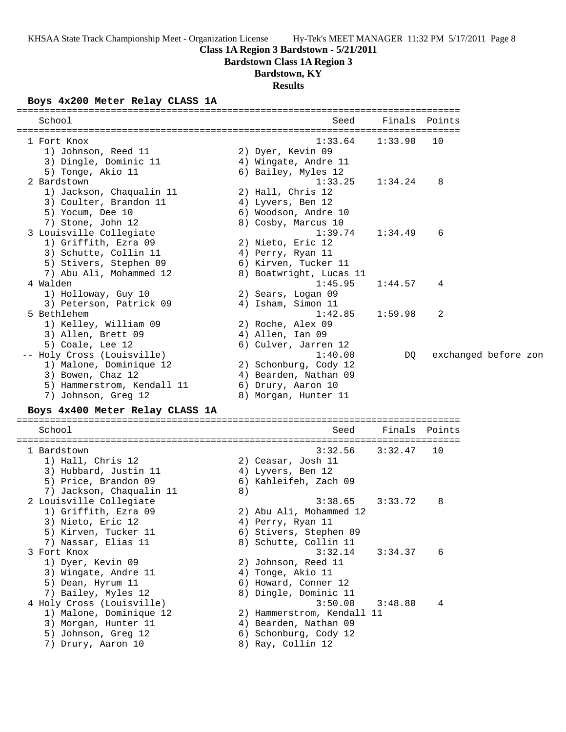### **Class 1A Region 3 Bardstown - 5/21/2011**

**Bardstown Class 1A Region 3**

# **Bardstown, KY**

**Results**

### **Boys 4x200 Meter Relay CLASS 1A**

| School                                               |    | Seed                                     | Finals                           | Points |                      |
|------------------------------------------------------|----|------------------------------------------|----------------------------------|--------|----------------------|
| 1 Fort Knox                                          |    | 1:33.64                                  | 1:33.90                          | 10     |                      |
| 1) Johnson, Reed 11                                  |    | 2) Dyer, Kevin 09                        |                                  |        |                      |
| 3) Dingle, Dominic 11                                |    | 4) Wingate, Andre 11                     |                                  |        |                      |
| 5) Tonge, Akio 11                                    |    | 6) Bailey, Myles 12                      |                                  |        |                      |
| 2 Bardstown                                          |    | 1:33.25                                  | 1:34.24                          | 8      |                      |
| 1) Jackson, Chaqualin 11                             |    | 2) Hall, Chris 12                        |                                  |        |                      |
| 3) Coulter, Brandon 11                               |    | 4) Lyvers, Ben 12                        |                                  |        |                      |
| 5) Yocum, Dee 10                                     |    | 6) Woodson, Andre 10                     |                                  |        |                      |
| 7) Stone, John 12                                    |    | 8) Cosby, Marcus 10                      |                                  |        |                      |
| 3 Louisville Collegiate                              |    | 1:39.74                                  | 1:34.49                          | 6      |                      |
| 1) Griffith, Ezra 09                                 |    | 2) Nieto, Eric 12                        |                                  |        |                      |
| 3) Schutte, Collin 11                                |    | 4) Perry, Ryan 11                        |                                  |        |                      |
| 5) Stivers, Stephen 09                               |    | 6) Kirven, Tucker 11                     |                                  |        |                      |
| 7) Abu Ali, Mohammed 12                              |    | 8) Boatwright, Lucas 11                  |                                  |        |                      |
| 4 Walden                                             |    | 1:45.95                                  | 1:44.57                          | 4      |                      |
| 1) Holloway, Guy 10<br>3) Peterson, Patrick 09       |    | 2) Sears, Logan 09<br>4) Isham, Simon 11 |                                  |        |                      |
| 5 Bethlehem                                          |    | 1:42.85                                  | 1:59.98                          | 2      |                      |
| 1) Kelley, William 09                                |    | 2) Roche, Alex 09                        |                                  |        |                      |
| 3) Allen, Brett 09                                   |    | 4) Allen, Ian 09                         |                                  |        |                      |
| 5) Coale, Lee 12                                     |    | 6) Culver, Jarren 12                     |                                  |        |                      |
| -- Holy Cross (Louisville)                           |    | 1:40.00                                  | DQ                               |        | exchanged before zon |
| 1) Malone, Dominique 12                              |    | 2) Schonburg, Cody 12                    |                                  |        |                      |
| 3) Bowen, Chaz 12                                    |    | 4) Bearden, Nathan 09                    |                                  |        |                      |
| 5) Hammerstrom, Kendall 11                           |    | 6) Drury, Aaron 10                       |                                  |        |                      |
| 7) Johnson, Greg 12                                  |    | 8) Morgan, Hunter 11                     |                                  |        |                      |
| Boys 4x400 Meter Relay CLASS 1A                      |    |                                          |                                  |        |                      |
| School                                               |    | Seed                                     | Finals                           | Points |                      |
| 1 Bardstown                                          |    | 3:32.56                                  | =====================<br>3:32.47 | 10     |                      |
| 1) Hall, Chris 12                                    |    | 2) Ceasar, Josh 11                       |                                  |        |                      |
| 3) Hubbard, Justin 11                                |    | 4) Lyvers, Ben 12                        |                                  |        |                      |
| 5) Price, Brandon 09                                 |    | 6) Kahleifeh, Zach 09                    |                                  |        |                      |
| 7) Jackson, Chaqualin 11                             | 8) |                                          |                                  |        |                      |
| 2 Louisville Collegiate                              |    | 3:38.65                                  | 3:33.72                          | 8      |                      |
| 1) Griffith, Ezra 09                                 |    | 2) Abu Ali, Mohammed 12                  |                                  |        |                      |
| 3) Nieto, Eric 12                                    |    | 4) Perry, Ryan 11                        |                                  |        |                      |
| 5) Kirven, Tucker 11                                 |    | 6) Stivers, Stephen 09                   |                                  |        |                      |
| 7) Nassar, Elias 11                                  |    | 8) Schutte, Collin 11                    |                                  |        |                      |
| 3 Fort Knox                                          |    | 3:32.14                                  | 3:34.37                          | 6      |                      |
| 1) Dyer, Kevin 09                                    |    | 2) Johnson, Reed 11                      |                                  |        |                      |
| 3) Wingate, Andre 11                                 |    | 4) Tonge, Akio 11                        |                                  |        |                      |
| 5) Dean, Hyrum 11                                    |    | 6) Howard, Conner 12                     |                                  |        |                      |
| 7) Bailey, Myles 12                                  |    | 8) Dingle, Dominic 11                    | 3:48.80                          |        |                      |
| 4 Holy Cross (Louisville)<br>1) Malone, Dominique 12 |    | 3:50.00<br>2) Hammerstrom, Kendall 11    |                                  | 4      |                      |
| 3) Morgan, Hunter 11                                 |    | 4) Bearden, Nathan 09                    |                                  |        |                      |
| 5) Johnson, Greg 12                                  |    | 6) Schonburg, Cody 12                    |                                  |        |                      |
| 7) Drury, Aaron 10                                   |    | 8) Ray, Collin 12                        |                                  |        |                      |
|                                                      |    |                                          |                                  |        |                      |